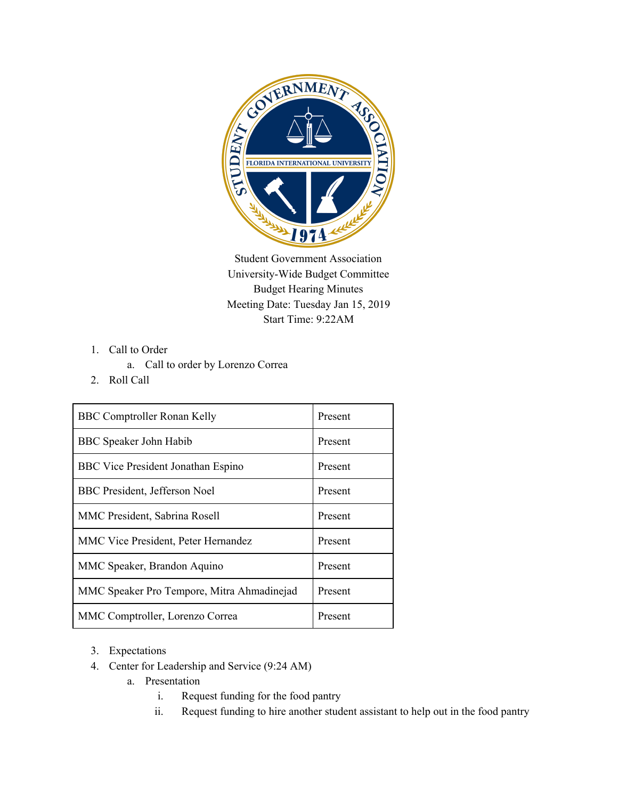

Student Government Association University-Wide Budget Committee Budget Hearing Minutes Meeting Date: Tuesday Jan 15, 2019 Start Time: 9:22AM

- 1. Call to Order
	- a. Call to order by Lorenzo Correa
- 2. Roll Call

| <b>BBC Comptroller Ronan Kelly</b>         | Present |
|--------------------------------------------|---------|
| <b>BBC</b> Speaker John Habib              | Present |
| <b>BBC</b> Vice President Jonathan Espino  | Present |
| BBC President, Jefferson Noel              | Present |
| MMC President, Sabrina Rosell              | Present |
| <b>MMC Vice President, Peter Hernandez</b> | Present |
| MMC Speaker, Brandon Aquino                | Present |
| MMC Speaker Pro Tempore, Mitra Ahmadinejad | Present |
| MMC Comptroller, Lorenzo Correa            | Present |

- 3. Expectations
- 4. Center for Leadership and Service (9:24 AM)
	- a. Presentation
		- i. Request funding for the food pantry
		- ii. Request funding to hire another student assistant to help out in the food pantry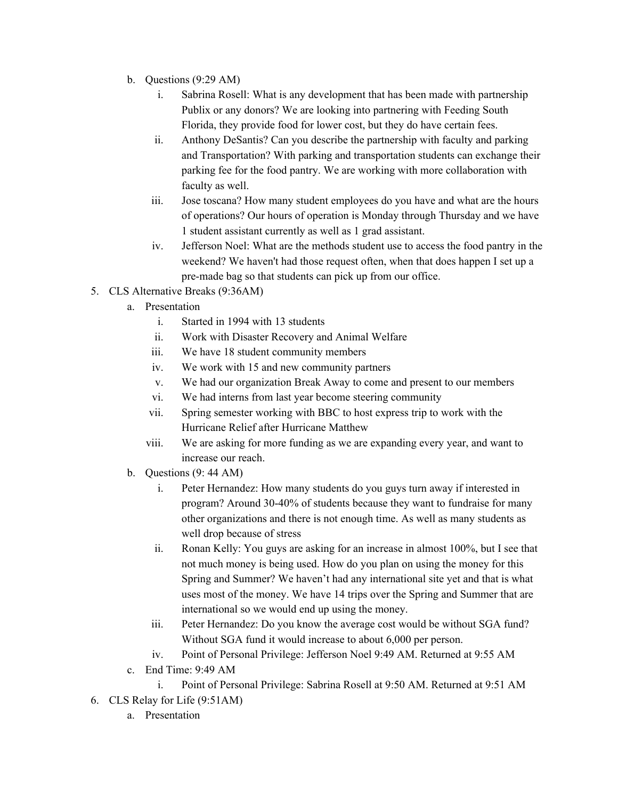- b. Questions (9:29 AM)
	- i. Sabrina Rosell: What is any development that has been made with partnership Publix or any donors? We are looking into partnering with Feeding South Florida, they provide food for lower cost, but they do have certain fees.
	- ii. Anthony DeSantis? Can you describe the partnership with faculty and parking and Transportation? With parking and transportation students can exchange their parking fee for the food pantry. We are working with more collaboration with faculty as well.
	- iii. Jose toscana? How many student employees do you have and what are the hours of operations? Our hours of operation is Monday through Thursday and we have 1 student assistant currently as well as 1 grad assistant.
	- iv. Jefferson Noel: What are the methods student use to access the food pantry in the weekend? We haven't had those request often, when that does happen I set up a pre-made bag so that students can pick up from our office.
- 5. CLS Alternative Breaks (9:36AM)
	- a. Presentation
		- i. Started in 1994 with 13 students
		- ii. Work with Disaster Recovery and Animal Welfare
		- iii. We have 18 student community members
		- iv. We work with 15 and new community partners
		- v. We had our organization Break Away to come and present to our members
		- vi. We had interns from last year become steering community
		- vii. Spring semester working with BBC to host express trip to work with the Hurricane Relief after Hurricane Matthew
		- viii. We are asking for more funding as we are expanding every year, and want to increase our reach.
	- b. Questions (9: 44 AM)
		- i. Peter Hernandez: How many students do you guys turn away if interested in program? Around 30-40% of students because they want to fundraise for many other organizations and there is not enough time. As well as many students as well drop because of stress
		- ii. Ronan Kelly: You guys are asking for an increase in almost 100%, but I see that not much money is being used. How do you plan on using the money for this Spring and Summer? We haven't had any international site yet and that is what uses most of the money. We have 14 trips over the Spring and Summer that are international so we would end up using the money.
		- iii. Peter Hernandez: Do you know the average cost would be without SGA fund? Without SGA fund it would increase to about 6,000 per person.
		- iv. Point of Personal Privilege: Jefferson Noel 9:49 AM. Returned at 9:55 AM
	- c. End Time: 9:49 AM

i. Point of Personal Privilege: Sabrina Rosell at 9:50 AM. Returned at 9:51 AM 6. CLS Relay for Life (9:51AM)

a. Presentation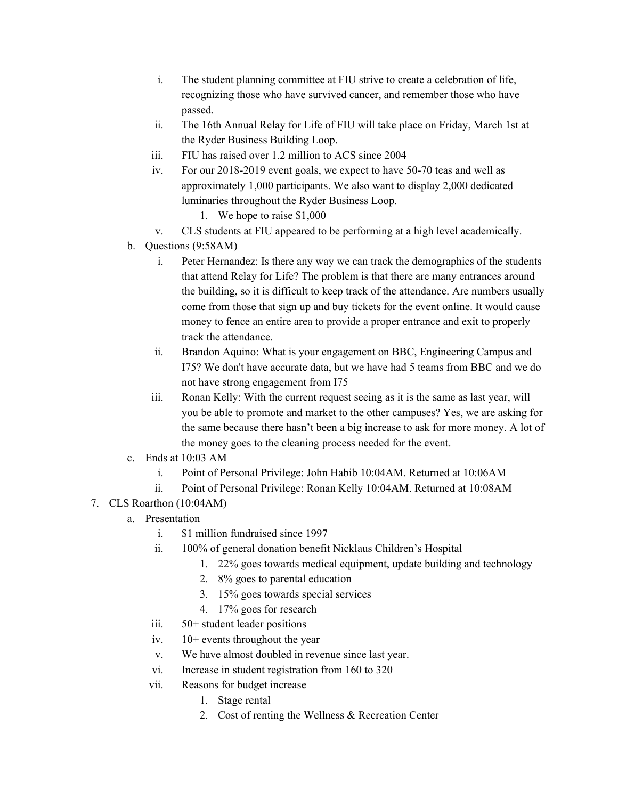- i. The student planning committee at FIU strive to create a celebration of life, recognizing those who have survived cancer, and remember those who have passed.
- ii. The 16th Annual Relay for Life of FIU will take place on Friday, March 1st at the Ryder Business Building Loop.
- iii. FIU has raised over 1.2 million to ACS since 2004
- iv. For our 2018-2019 event goals, we expect to have 50-70 teas and well as approximately 1,000 participants. We also want to display 2,000 dedicated luminaries throughout the Ryder Business Loop.
	- 1. We hope to raise \$1,000
- v. CLS students at FIU appeared to be performing at a high level academically.
- b. Questions (9:58AM)
	- i. Peter Hernandez: Is there any way we can track the demographics of the students that attend Relay for Life? The problem is that there are many entrances around the building, so it is difficult to keep track of the attendance. Are numbers usually come from those that sign up and buy tickets for the event online. It would cause money to fence an entire area to provide a proper entrance and exit to properly track the attendance.
	- ii. Brandon Aquino: What is your engagement on BBC, Engineering Campus and I75? We don't have accurate data, but we have had 5 teams from BBC and we do not have strong engagement from I75
	- iii. Ronan Kelly: With the current request seeing as it is the same as last year, will you be able to promote and market to the other campuses? Yes, we are asking for the same because there hasn't been a big increase to ask for more money. A lot of the money goes to the cleaning process needed for the event.
- c. Ends at 10:03 AM
	- i. Point of Personal Privilege: John Habib 10:04AM. Returned at 10:06AM
	- ii. Point of Personal Privilege: Ronan Kelly 10:04AM. Returned at 10:08AM
- 7. CLS Roarthon (10:04AM)
	- a. Presentation
		- i. \$1 million fundraised since 1997
		- ii. 100% of general donation benefit Nicklaus Children's Hospital
			- 1. 22% goes towards medical equipment, update building and technology
				- 2. 8% goes to parental education
				- 3. 15% goes towards special services
				- 4. 17% goes for research
		- iii. 50+ student leader positions
		- iv. 10+ events throughout the year
		- v. We have almost doubled in revenue since last year.
		- vi. Increase in student registration from 160 to 320
		- vii. Reasons for budget increase
			- 1. Stage rental
			- 2. Cost of renting the Wellness & Recreation Center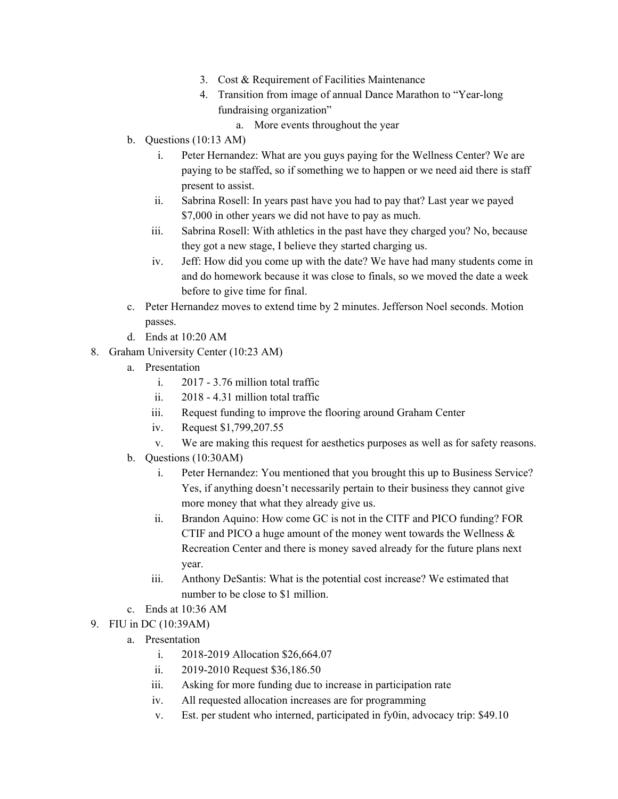- 3. Cost & Requirement of Facilities Maintenance
- 4. Transition from image of annual Dance Marathon to "Year-long fundraising organization"
	- a. More events throughout the year
- b. Questions (10:13 AM)
	- i. Peter Hernandez: What are you guys paying for the Wellness Center? We are paying to be staffed, so if something we to happen or we need aid there is staff present to assist.
	- ii. Sabrina Rosell: In years past have you had to pay that? Last year we payed \$7,000 in other years we did not have to pay as much.
	- iii. Sabrina Rosell: With athletics in the past have they charged you? No, because they got a new stage, I believe they started charging us.
	- iv. Jeff: How did you come up with the date? We have had many students come in and do homework because it was close to finals, so we moved the date a week before to give time for final.
- c. Peter Hernandez moves to extend time by 2 minutes. Jefferson Noel seconds. Motion passes.
- d. Ends at 10:20 AM
- 8. Graham University Center (10:23 AM)
	- a. Presentation
		- i. 2017 3.76 million total traffic
		- ii. 2018 4.31 million total traffic
		- iii. Request funding to improve the flooring around Graham Center
		- iv. Request \$1,799,207.55
		- v. We are making this request for aesthetics purposes as well as for safety reasons.
	- b. Questions (10:30AM)
		- i. Peter Hernandez: You mentioned that you brought this up to Business Service? Yes, if anything doesn't necessarily pertain to their business they cannot give more money that what they already give us.
		- ii. Brandon Aquino: How come GC is not in the CITF and PICO funding? FOR CTIF and PICO a huge amount of the money went towards the Wellness & Recreation Center and there is money saved already for the future plans next year.
		- iii. Anthony DeSantis: What is the potential cost increase? We estimated that number to be close to \$1 million.
	- c. Ends at 10:36 AM
- 9. FIU in DC (10:39AM)
	- a. Presentation
		- i. 2018-2019 Allocation \$26,664.07
		- ii. 2019-2010 Request \$36,186.50
		- iii. Asking for more funding due to increase in participation rate
		- iv. All requested allocation increases are for programming
		- v. Est. per student who interned, participated in fy0in, advocacy trip: \$49.10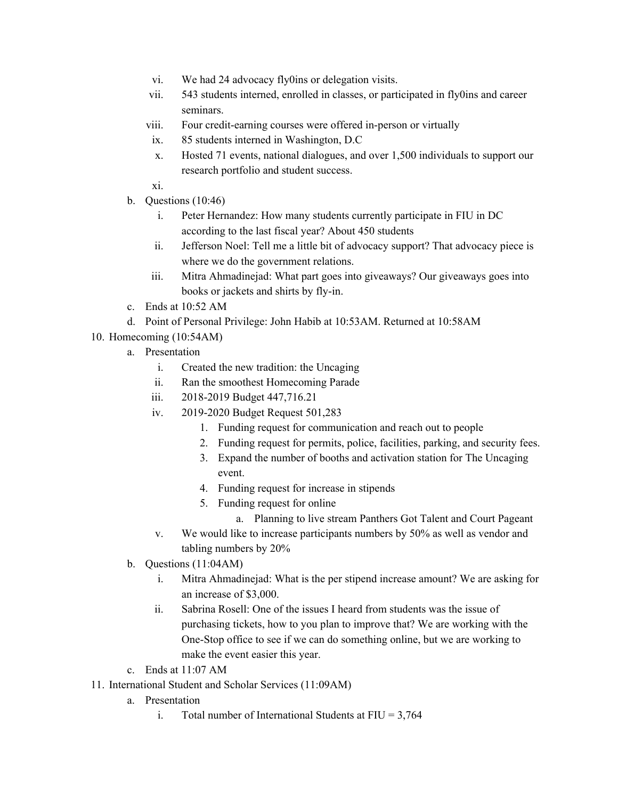- vi. We had 24 advocacy fly0ins or delegation visits.
- vii. 543 students interned, enrolled in classes, or participated in fly0ins and career seminars.
- viii. Four credit-earning courses were offered in-person or virtually
- ix. 85 students interned in Washington, D.C
- x. Hosted 71 events, national dialogues, and over 1,500 individuals to support our research portfolio and student success.
- xi.
- b. Questions (10:46)
	- i. Peter Hernandez: How many students currently participate in FIU in DC according to the last fiscal year? About 450 students
	- ii. Jefferson Noel: Tell me a little bit of advocacy support? That advocacy piece is where we do the government relations.
	- iii. Mitra Ahmadinejad: What part goes into giveaways? Our giveaways goes into books or jackets and shirts by fly-in.
- c. Ends at 10:52 AM
- d. Point of Personal Privilege: John Habib at 10:53AM. Returned at 10:58AM
- 10. Homecoming (10:54AM)
	- a. Presentation
		- i. Created the new tradition: the Uncaging
		- ii. Ran the smoothest Homecoming Parade
		- iii. 2018-2019 Budget 447,716.21
		- iv. 2019-2020 Budget Request 501,283
			- 1. Funding request for communication and reach out to people
			- 2. Funding request for permits, police, facilities, parking, and security fees.
			- 3. Expand the number of booths and activation station for The Uncaging event.
			- 4. Funding request for increase in stipends
			- 5. Funding request for online
				- a. Planning to live stream Panthers Got Talent and Court Pageant
		- v. We would like to increase participants numbers by 50% as well as vendor and tabling numbers by 20%
	- b. Questions (11:04AM)
		- i. Mitra Ahmadinejad: What is the per stipend increase amount? We are asking for an increase of \$3,000.
		- ii. Sabrina Rosell: One of the issues I heard from students was the issue of purchasing tickets, how to you plan to improve that? We are working with the One-Stop office to see if we can do something online, but we are working to make the event easier this year.
	- c. Ends at 11:07 AM
- 11. International Student and Scholar Services (11:09AM)
	- a. Presentation
		- i. Total number of International Students at  $FIU = 3,764$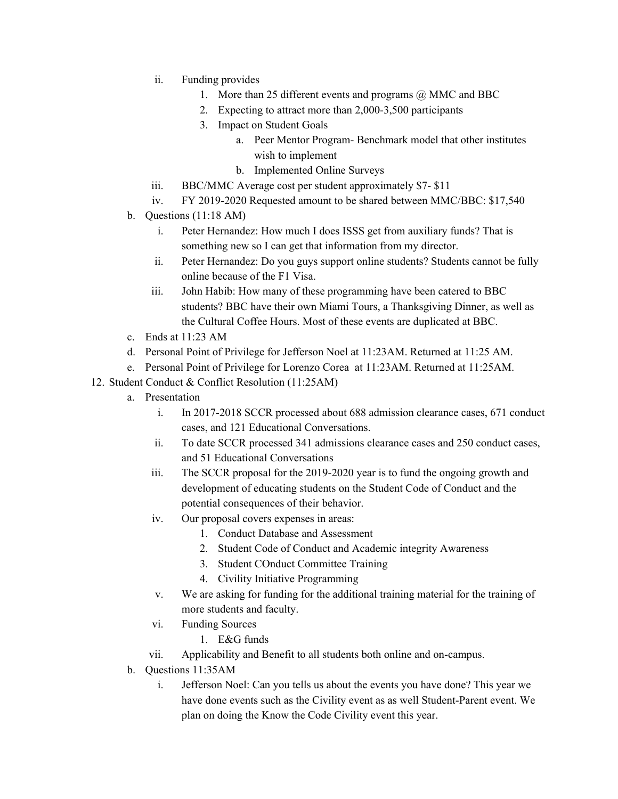- ii. Funding provides
	- 1. More than 25 different events and programs @ MMC and BBC
	- 2. Expecting to attract more than 2,000-3,500 participants
	- 3. Impact on Student Goals
		- a. Peer Mentor Program- Benchmark model that other institutes wish to implement
		- b. Implemented Online Surveys
- iii. BBC/MMC Average cost per student approximately \$7- \$11
- iv. FY 2019-2020 Requested amount to be shared between MMC/BBC: \$17,540
- b. Questions (11:18 AM)
	- i. Peter Hernandez: How much I does ISSS get from auxiliary funds? That is something new so I can get that information from my director.
	- ii. Peter Hernandez: Do you guys support online students? Students cannot be fully online because of the F1 Visa.
	- iii. John Habib: How many of these programming have been catered to BBC students? BBC have their own Miami Tours, a Thanksgiving Dinner, as well as the Cultural Coffee Hours. Most of these events are duplicated at BBC.
- c. Ends at 11:23 AM
- d. Personal Point of Privilege for Jefferson Noel at 11:23AM. Returned at 11:25 AM.
- e. Personal Point of Privilege for Lorenzo Corea at 11:23AM. Returned at 11:25AM.
- 12. Student Conduct & Conflict Resolution (11:25AM)
	- a. Presentation
		- i. In 2017-2018 SCCR processed about 688 admission clearance cases, 671 conduct cases, and 121 Educational Conversations.
		- ii. To date SCCR processed 341 admissions clearance cases and 250 conduct cases, and 51 Educational Conversations
		- iii. The SCCR proposal for the 2019-2020 year is to fund the ongoing growth and development of educating students on the Student Code of Conduct and the potential consequences of their behavior.
		- iv. Our proposal covers expenses in areas:
			- 1. Conduct Database and Assessment
			- 2. Student Code of Conduct and Academic integrity Awareness
			- 3. Student COnduct Committee Training
			- 4. Civility Initiative Programming
		- v. We are asking for funding for the additional training material for the training of more students and faculty.
		- vi. Funding Sources
			- 1. E&G funds
		- vii. Applicability and Benefit to all students both online and on-campus.
	- b. Questions 11:35AM
		- i. Jefferson Noel: Can you tells us about the events you have done? This year we have done events such as the Civility event as as well Student-Parent event. We plan on doing the Know the Code Civility event this year.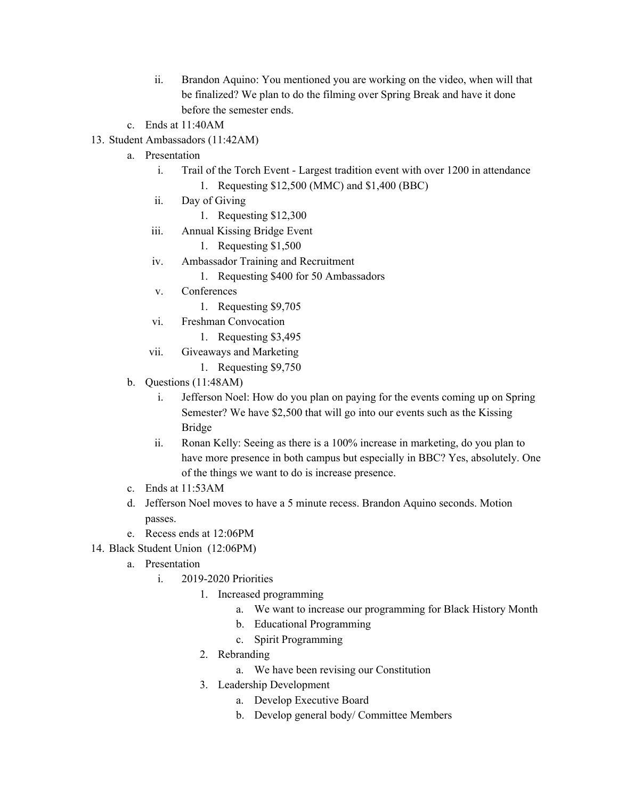- ii. Brandon Aquino: You mentioned you are working on the video, when will that be finalized? We plan to do the filming over Spring Break and have it done before the semester ends.
- c. Ends at 11:40AM
- 13. Student Ambassadors (11:42AM)
	- a. Presentation
		- i. Trail of the Torch Event Largest tradition event with over 1200 in attendance 1. Requesting \$12,500 (MMC) and \$1,400 (BBC)
		- ii. Day of Giving
			- 1. Requesting \$12,300
		- iii. Annual Kissing Bridge Event
			- 1. Requesting \$1,500
		- iv. Ambassador Training and Recruitment
			- 1. Requesting \$400 for 50 Ambassadors
		- v. Conferences
			- 1. Requesting \$9,705
		- vi. Freshman Convocation
			- 1. Requesting \$3,495
		- vii. Giveaways and Marketing
			- 1. Requesting \$9,750
	- b. Questions (11:48AM)
		- i. Jefferson Noel: How do you plan on paying for the events coming up on Spring Semester? We have \$2,500 that will go into our events such as the Kissing Bridge
		- ii. Ronan Kelly: Seeing as there is a 100% increase in marketing, do you plan to have more presence in both campus but especially in BBC? Yes, absolutely. One of the things we want to do is increase presence.
	- c. Ends at 11:53AM
	- d. Jefferson Noel moves to have a 5 minute recess. Brandon Aquino seconds. Motion passes.
	- e. Recess ends at 12:06PM
- 14. Black Student Union (12:06PM)
	- a. Presentation
		- i. 2019-2020 Priorities
			- 1. Increased programming
				- a. We want to increase our programming for Black History Month
				- b. Educational Programming
				- c. Spirit Programming
			- 2. Rebranding
				- a. We have been revising our Constitution
			- 3. Leadership Development
				- a. Develop Executive Board
				- b. Develop general body/ Committee Members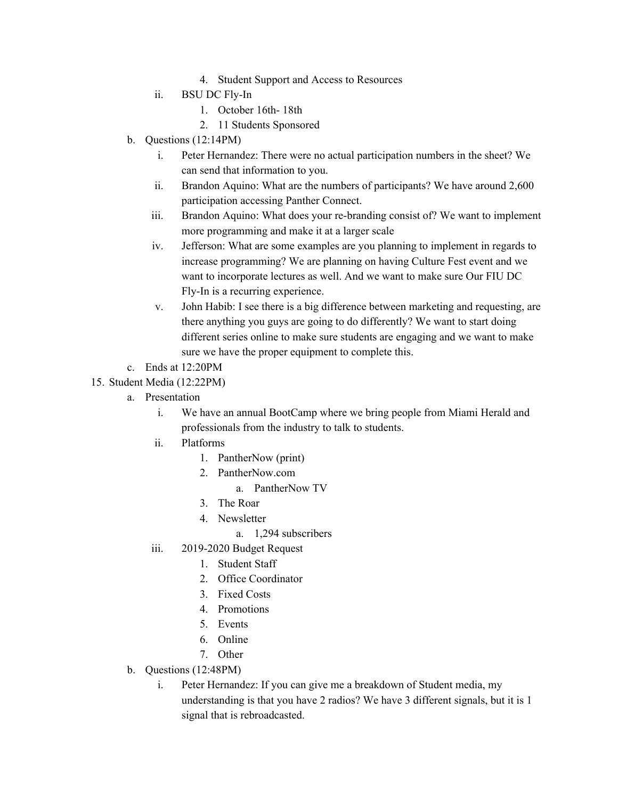- 4. Student Support and Access to Resources
- ii. BSU DC Fly-In
	- 1. October 16th- 18th
	- 2. 11 Students Sponsored
- b. Questions (12:14PM)
	- i. Peter Hernandez: There were no actual participation numbers in the sheet? We can send that information to you.
	- ii. Brandon Aquino: What are the numbers of participants? We have around 2,600 participation accessing Panther Connect.
	- iii. Brandon Aquino: What does your re-branding consist of? We want to implement more programming and make it at a larger scale
	- iv. Jefferson: What are some examples are you planning to implement in regards to increase programming? We are planning on having Culture Fest event and we want to incorporate lectures as well. And we want to make sure Our FIU DC Fly-In is a recurring experience.
	- v. John Habib: I see there is a big difference between marketing and requesting, are there anything you guys are going to do differently? We want to start doing different series online to make sure students are engaging and we want to make sure we have the proper equipment to complete this.
- c. Ends at 12:20PM

## 15. Student Media (12:22PM)

- a. Presentation
	- i. We have an annual BootCamp where we bring people from Miami Herald and professionals from the industry to talk to students.
	- ii. Platforms
		- 1. PantherNow (print)
		- 2. PantherNow.com
			- a. PantherNow TV
		- 3. The Roar
		- 4. Newsletter
			- a. 1,294 subscribers
	- iii. 2019-2020 Budget Request
		- 1. Student Staff
		- 2. Office Coordinator
		- 3. Fixed Costs
		- 4. Promotions
		- 5. Events
		- 6. Online
		- 7. Other
- b. Questions (12:48PM)
	- i. Peter Hernandez: If you can give me a breakdown of Student media, my understanding is that you have 2 radios? We have 3 different signals, but it is 1 signal that is rebroadcasted.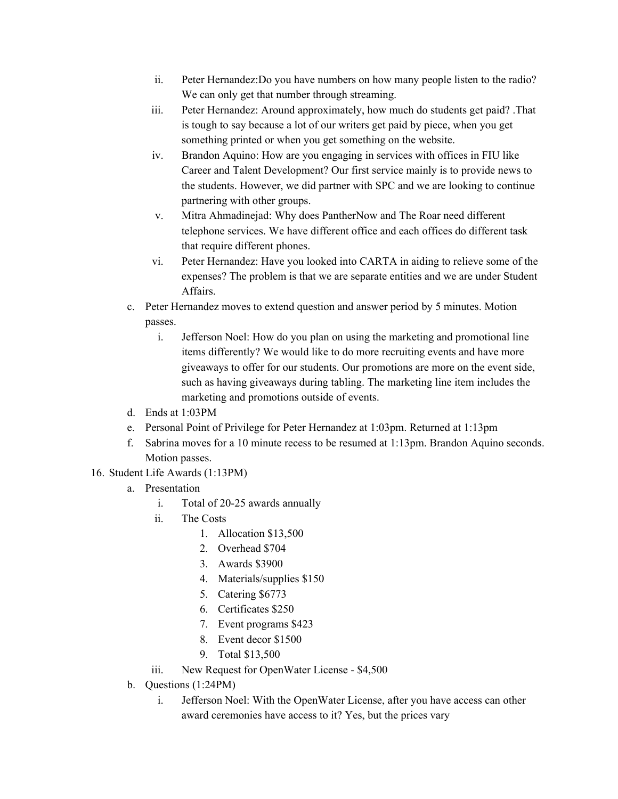- ii. Peter Hernandez:Do you have numbers on how many people listen to the radio? We can only get that number through streaming.
- iii. Peter Hernandez: Around approximately, how much do students get paid? .That is tough to say because a lot of our writers get paid by piece, when you get something printed or when you get something on the website.
- iv. Brandon Aquino: How are you engaging in services with offices in FIU like Career and Talent Development? Our first service mainly is to provide news to the students. However, we did partner with SPC and we are looking to continue partnering with other groups.
- v. Mitra Ahmadinejad: Why does PantherNow and The Roar need different telephone services. We have different office and each offices do different task that require different phones.
- vi. Peter Hernandez: Have you looked into CARTA in aiding to relieve some of the expenses? The problem is that we are separate entities and we are under Student **Affairs**
- c. Peter Hernandez moves to extend question and answer period by 5 minutes. Motion passes.
	- i. Jefferson Noel: How do you plan on using the marketing and promotional line items differently? We would like to do more recruiting events and have more giveaways to offer for our students. Our promotions are more on the event side, such as having giveaways during tabling. The marketing line item includes the marketing and promotions outside of events.
- d. Ends at 1:03PM
- e. Personal Point of Privilege for Peter Hernandez at 1:03pm. Returned at 1:13pm
- f. Sabrina moves for a 10 minute recess to be resumed at 1:13pm. Brandon Aquino seconds. Motion passes.
- 16. Student Life Awards (1:13PM)
	- a. Presentation
		- i. Total of 20-25 awards annually
		- ii. The Costs
			- 1. Allocation \$13,500
			- 2. Overhead \$704
			- 3. Awards \$3900
			- 4. Materials/supplies \$150
			- 5. Catering \$6773
			- 6. Certificates \$250
			- 7. Event programs \$423
			- 8. Event decor \$1500
			- 9. Total \$13,500
		- iii. New Request for OpenWater License \$4,500
	- b. Questions (1:24PM)
		- i. Jefferson Noel: With the OpenWater License, after you have access can other award ceremonies have access to it? Yes, but the prices vary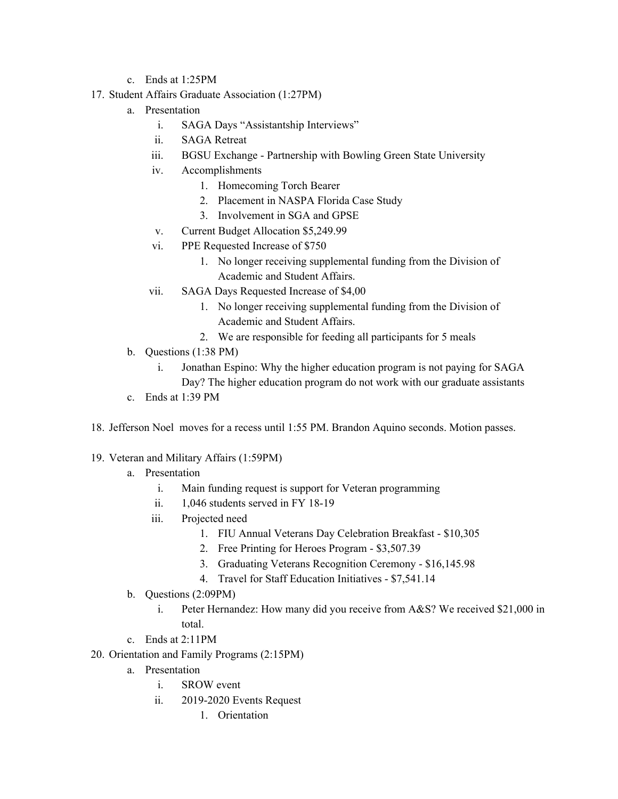- c. Ends at 1:25PM
- 17. Student Affairs Graduate Association (1:27PM)
	- a. Presentation
		- i. SAGA Days "Assistantship Interviews"
		- ii. SAGA Retreat
		- iii. BGSU Exchange Partnership with Bowling Green State University
		- iv. Accomplishments
			- 1. Homecoming Torch Bearer
			- 2. Placement in NASPA Florida Case Study
			- 3. Involvement in SGA and GPSE
		- v. Current Budget Allocation \$5,249.99
		- vi. PPE Requested Increase of \$750
			- 1. No longer receiving supplemental funding from the Division of Academic and Student Affairs.
		- vii. SAGA Days Requested Increase of \$4,00
			- 1. No longer receiving supplemental funding from the Division of Academic and Student Affairs.
			- 2. We are responsible for feeding all participants for 5 meals
	- b. Questions (1:38 PM)
		- i. Jonathan Espino: Why the higher education program is not paying for SAGA Day? The higher education program do not work with our graduate assistants
	- c. Ends at  $1:39$  PM
- 18. Jefferson Noel moves for a recess until 1:55 PM. Brandon Aquino seconds. Motion passes.
- 19. Veteran and Military Affairs (1:59PM)
	- a. Presentation
		- i. Main funding request is support for Veteran programming
		- ii. 1,046 students served in FY 18-19
		- iii. Projected need
			- 1. FIU Annual Veterans Day Celebration Breakfast \$10,305
			- 2. Free Printing for Heroes Program \$3,507.39
			- 3. Graduating Veterans Recognition Ceremony \$16,145.98
			- 4. Travel for Staff Education Initiatives \$7,541.14
	- b. Questions (2:09PM)
		- i. Peter Hernandez: How many did you receive from A&S? We received \$21,000 in total.
	- c. Ends at 2:11PM
- 20. Orientation and Family Programs (2:15PM)
	- a. Presentation
		- i. SROW event
		- ii. 2019-2020 Events Request
			- 1. Orientation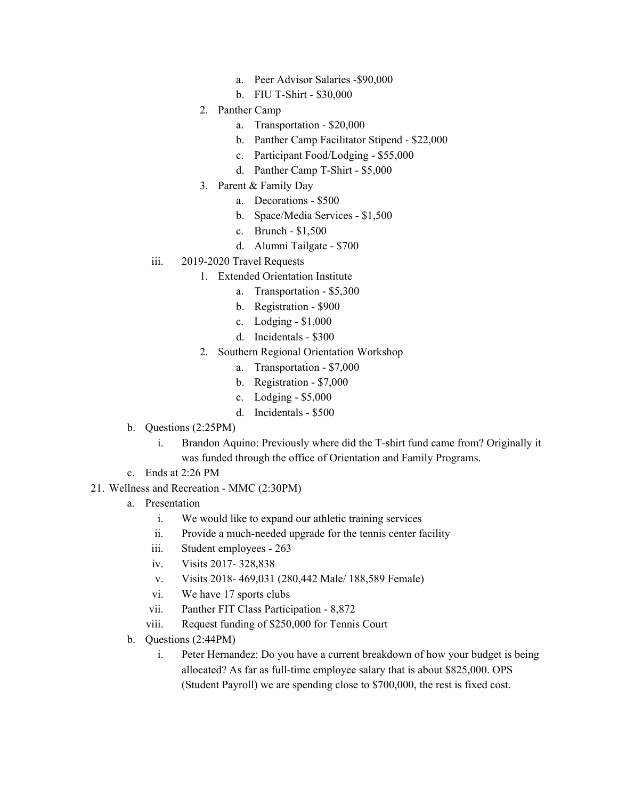- a. Peer Advisor Salaries -\$90,000
- b. FIU T-Shirt \$30,000
- 2. Panther Camp
	- a. Transportation \$20,000
	- b. Panther Camp Facilitator Stipend \$22,000
	- c. Participant Food/Lodging \$55,000
	- d. Panther Camp T-Shirt \$5,000
- 3. Parent & Family Day
	- a. Decorations \$500
	- b. Space/Media Services \$1,500
	- c. Brunch \$1,500
	- d. Alumni Tailgate \$700
- iii. 2019-2020 Travel Requests
	- 1. Extended Orientation Institute
		- a. Transportation \$5,300
		- b. Registration \$900
		- c. Lodging \$1,000
		- d. Incidentals \$300
		- 2. Southern Regional Orientation Workshop
			- a. Transportation \$7,000
			- b. Registration \$7,000
			- c. Lodging \$5,000
			- d. Incidentals \$500
- b. Questions (2:25PM)
	- i. Brandon Aquino: Previously where did the T-shirt fund came from? Originally it was funded through the office of Orientation and Family Programs.
- c. Ends at 2:26 PM
- 21. Wellness and Recreation MMC (2:30PM)
	- a. Presentation
		- i. We would like to expand our athletic training services
		- ii. Provide a much-needed upgrade for the tennis center facility
		- iii. Student employees 263
		- iv. Visits 2017- 328,838
		- v. Visits 2018- 469,031 (280,442 Male/ 188,589 Female)
		- vi. We have 17 sports clubs
		- vii. Panther FIT Class Participation 8,872
		- viii. Request funding of \$250,000 for Tennis Court
	- b. Questions (2:44PM)
		- i. Peter Hernandez: Do you have a current breakdown of how your budget is being allocated? As far as full-time employee salary that is about \$825,000. OPS (Student Payroll) we are spending close to \$700,000, the rest is fixed cost.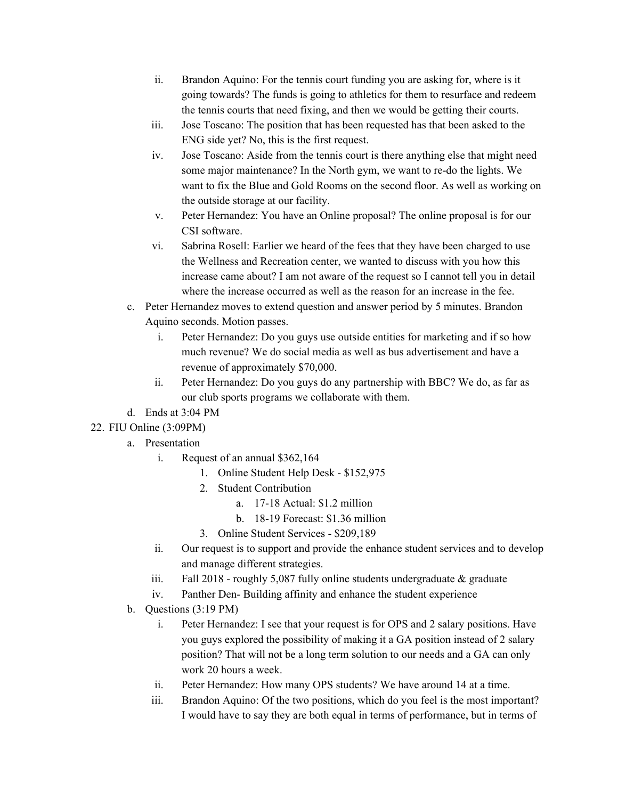- ii. Brandon Aquino: For the tennis court funding you are asking for, where is it going towards? The funds is going to athletics for them to resurface and redeem the tennis courts that need fixing, and then we would be getting their courts.
- iii. Jose Toscano: The position that has been requested has that been asked to the ENG side yet? No, this is the first request.
- iv. Jose Toscano: Aside from the tennis court is there anything else that might need some major maintenance? In the North gym, we want to re-do the lights. We want to fix the Blue and Gold Rooms on the second floor. As well as working on the outside storage at our facility.
- v. Peter Hernandez: You have an Online proposal? The online proposal is for our CSI software.
- vi. Sabrina Rosell: Earlier we heard of the fees that they have been charged to use the Wellness and Recreation center, we wanted to discuss with you how this increase came about? I am not aware of the request so I cannot tell you in detail where the increase occurred as well as the reason for an increase in the fee.
- c. Peter Hernandez moves to extend question and answer period by 5 minutes. Brandon Aquino seconds. Motion passes.
	- i. Peter Hernandez: Do you guys use outside entities for marketing and if so how much revenue? We do social media as well as bus advertisement and have a revenue of approximately \$70,000.
	- ii. Peter Hernandez: Do you guys do any partnership with BBC? We do, as far as our club sports programs we collaborate with them.
- d. Ends at 3:04 PM
- 22. FIU Online (3:09PM)
	- a. Presentation
		- i. Request of an annual \$362,164
			- 1. Online Student Help Desk \$152,975
			- 2. Student Contribution
				- a. 17-18 Actual: \$1.2 million
				- b. 18-19 Forecast: \$1.36 million
			- 3. Online Student Services \$209,189
		- ii. Our request is to support and provide the enhance student services and to develop and manage different strategies.
		- iii. Fall 2018 roughly 5,087 fully online students undergraduate & graduate
		- iv. Panther Den- Building affinity and enhance the student experience
	- b. Questions (3:19 PM)
		- i. Peter Hernandez: I see that your request is for OPS and 2 salary positions. Have you guys explored the possibility of making it a GA position instead of 2 salary position? That will not be a long term solution to our needs and a GA can only work 20 hours a week.
		- ii. Peter Hernandez: How many OPS students? We have around 14 at a time.
		- iii. Brandon Aquino: Of the two positions, which do you feel is the most important? I would have to say they are both equal in terms of performance, but in terms of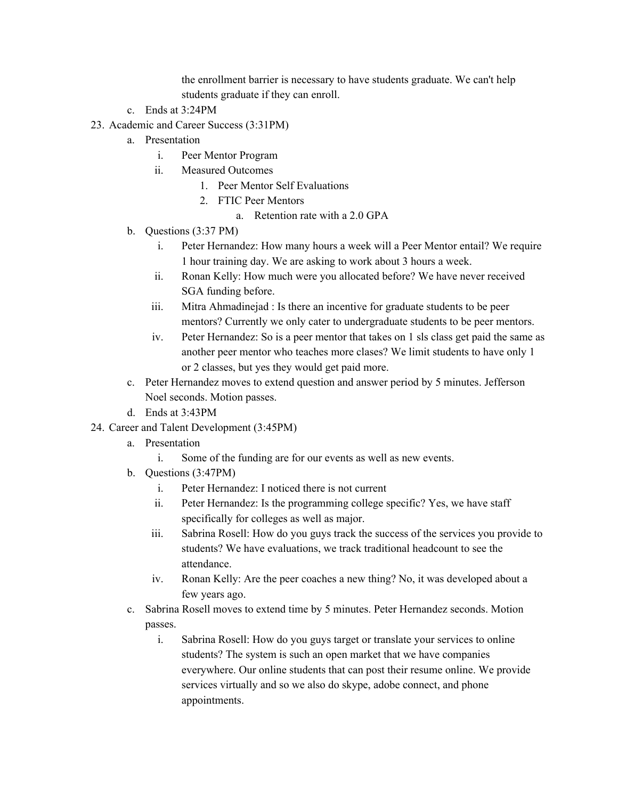the enrollment barrier is necessary to have students graduate. We can't help students graduate if they can enroll.

- c. Ends at 3:24PM
- 23. Academic and Career Success (3:31PM)
	- a. Presentation
		- i. Peer Mentor Program
		- ii. Measured Outcomes
			- 1. Peer Mentor Self Evaluations
			- 2. FTIC Peer Mentors
				- a. Retention rate with a 2.0 GPA
	- b. Questions (3:37 PM)
		- i. Peter Hernandez: How many hours a week will a Peer Mentor entail? We require 1 hour training day. We are asking to work about 3 hours a week.
		- ii. Ronan Kelly: How much were you allocated before? We have never received SGA funding before.
		- iii. Mitra Ahmadinejad : Is there an incentive for graduate students to be peer mentors? Currently we only cater to undergraduate students to be peer mentors.
		- iv. Peter Hernandez: So is a peer mentor that takes on 1 sls class get paid the same as another peer mentor who teaches more clases? We limit students to have only 1 or 2 classes, but yes they would get paid more.
	- c. Peter Hernandez moves to extend question and answer period by 5 minutes. Jefferson Noel seconds. Motion passes.
	- d. Ends at 3:43PM
- 24. Career and Talent Development (3:45PM)
	- a. Presentation
		- i. Some of the funding are for our events as well as new events.
	- b. Questions (3:47PM)
		- i. Peter Hernandez: I noticed there is not current
		- ii. Peter Hernandez: Is the programming college specific? Yes, we have staff specifically for colleges as well as major.
		- iii. Sabrina Rosell: How do you guys track the success of the services you provide to students? We have evaluations, we track traditional headcount to see the attendance.
		- iv. Ronan Kelly: Are the peer coaches a new thing? No, it was developed about a few years ago.
	- c. Sabrina Rosell moves to extend time by 5 minutes. Peter Hernandez seconds. Motion passes.
		- i. Sabrina Rosell: How do you guys target or translate your services to online students? The system is such an open market that we have companies everywhere. Our online students that can post their resume online. We provide services virtually and so we also do skype, adobe connect, and phone appointments.